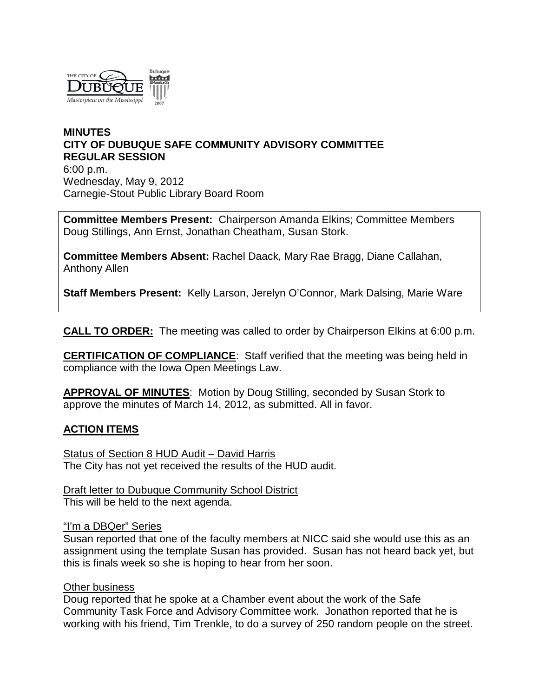

### **MINUTES CITY OF DUBUQUE SAFE COMMUNITY ADVISORY COMMITTEE REGULAR SESSION** 6:00 p.m. Wednesday, May 9, 2012 Carnegie-Stout Public Library Board Room

**Committee Members Present:** Chairperson Amanda Elkins; Committee Members Doug Stillings, Ann Ernst, Jonathan Cheatham, Susan Stork.

**Committee Members Absent:** Rachel Daack, Mary Rae Bragg, Diane Callahan, Anthony Allen

**Staff Members Present:** Kelly Larson, Jerelyn O'Connor, Mark Dalsing, Marie Ware

**CALL TO ORDER:** The meeting was called to order by Chairperson Elkins at 6:00 p.m.

**CERTIFICATION OF COMPLIANCE**: Staff verified that the meeting was being held in compliance with the Iowa Open Meetings Law.

**APPROVAL OF MINUTES**: Motion by Doug Stilling, seconded by Susan Stork to approve the minutes of March 14, 2012, as submitted. All in favor.

### **ACTION ITEMS**

Status of Section 8 HUD Audit – David Harris The City has not yet received the results of the HUD audit.

Draft letter to Dubuque Community School District This will be held to the next agenda.

#### "I'm a DBQer" Series

Susan reported that one of the faculty members at NICC said she would use this as an assignment using the template Susan has provided. Susan has not heard back yet, but this is finals week so she is hoping to hear from her soon.

#### Other business

Doug reported that he spoke at a Chamber event about the work of the Safe Community Task Force and Advisory Committee work. Jonathon reported that he is working with his friend, Tim Trenkle, to do a survey of 250 random people on the street.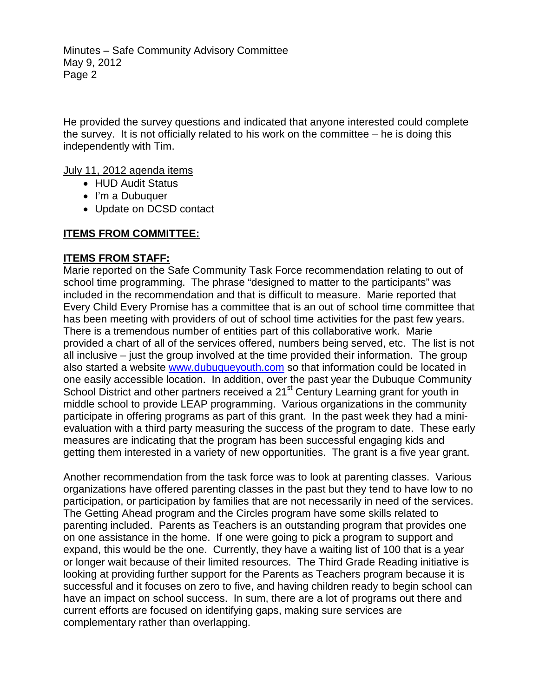Minutes – Safe Community Advisory Committee May 9, 2012 Page 2

He provided the survey questions and indicated that anyone interested could complete the survey. It is not officially related to his work on the committee – he is doing this independently with Tim.

July 11, 2012 agenda items

- HUD Audit Status
- I'm a Dubuquer
- Update on DCSD contact

## **ITEMS FROM COMMITTEE:**

### **ITEMS FROM STAFF:**

Marie reported on the Safe Community Task Force recommendation relating to out of school time programming. The phrase "designed to matter to the participants" was included in the recommendation and that is difficult to measure. Marie reported that Every Child Every Promise has a committee that is an out of school time committee that has been meeting with providers of out of school time activities for the past few years. There is a tremendous number of entities part of this collaborative work. Marie provided a chart of all of the services offered, numbers being served, etc. The list is not all inclusive – just the group involved at the time provided their information. The group also started a website [www.dubuqueyouth.com](http://www.dubuqueyouth.com/) so that information could be located in one easily accessible location. In addition, over the past year the Dubuque Community School District and other partners received a 21<sup>st</sup> Century Learning grant for youth in middle school to provide LEAP programming. Various organizations in the community participate in offering programs as part of this grant. In the past week they had a minievaluation with a third party measuring the success of the program to date. These early measures are indicating that the program has been successful engaging kids and getting them interested in a variety of new opportunities. The grant is a five year grant.

Another recommendation from the task force was to look at parenting classes. Various organizations have offered parenting classes in the past but they tend to have low to no participation, or participation by families that are not necessarily in need of the services. The Getting Ahead program and the Circles program have some skills related to parenting included. Parents as Teachers is an outstanding program that provides one on one assistance in the home. If one were going to pick a program to support and expand, this would be the one. Currently, they have a waiting list of 100 that is a year or longer wait because of their limited resources. The Third Grade Reading initiative is looking at providing further support for the Parents as Teachers program because it is successful and it focuses on zero to five, and having children ready to begin school can have an impact on school success. In sum, there are a lot of programs out there and current efforts are focused on identifying gaps, making sure services are complementary rather than overlapping.